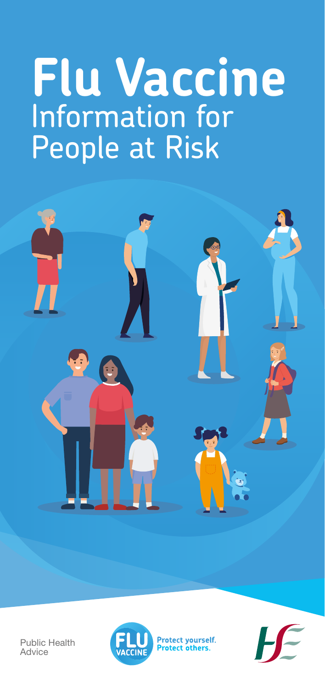# **Flu Vaccine** Information for People at Risk



Public Health Advice



**Protect yourself.**<br>**Protect others.** 

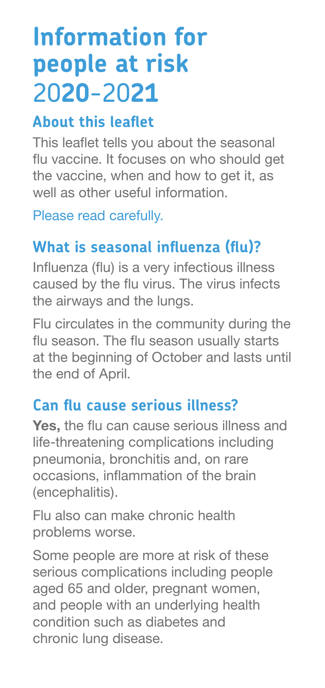# **Information for people at risk** 20**20**-20**21**

#### **About this leaflet**

This leaflet tells you about the seasonal flu vaccine. It focuses on who should get the vaccine, when and how to get it, as well as other useful information.

Please read carefully.

# **What is seasonal influenza (flu)?**

Influenza (flu) is a very infectious illness caused by the flu virus. The virus infects the airways and the lungs.

Flu circulates in the community during the flu season. The flu season usually starts at the beginning of October and lasts until the end of April.

#### **Can flu cause serious illness?**

**Yes,** the flu can cause serious illness and life-threatening complications including pneumonia, bronchitis and, on rare occasions, inflammation of the brain (encephalitis).

Flu also can make chronic health problems worse.

Some people are more at risk of these serious complications including people aged 65 and older, pregnant women, and people with an underlying health condition such as diabetes and chronic lung disease.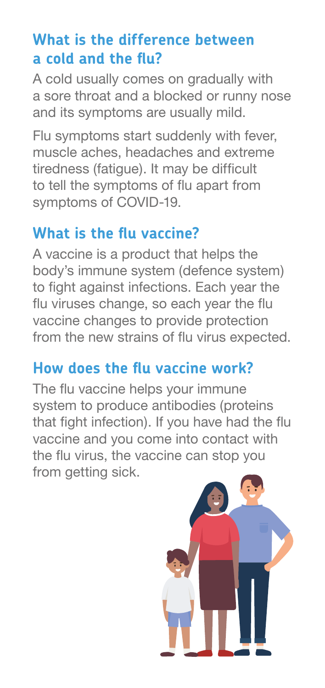#### **What is the difference between a cold and the flu?**

A cold usually comes on gradually with a sore throat and a blocked or runny nose and its symptoms are usually mild.

Flu symptoms start suddenly with fever, muscle aches, headaches and extreme tiredness (fatigue). It may be difficult to tell the symptoms of flu apart from symptoms of COVID-19.

#### **What is the flu vaccine?**

A vaccine is a product that helps the body's immune system (defence system) to fight against infections. Each year the flu viruses change, so each year the flu vaccine changes to provide protection from the new strains of flu virus expected.

#### **How does the flu vaccine work?**

The flu vaccine helps your immune system to produce antibodies (proteins that fight infection). If you have had the flu vaccine and you come into contact with the flu virus, the vaccine can stop you from getting sick.

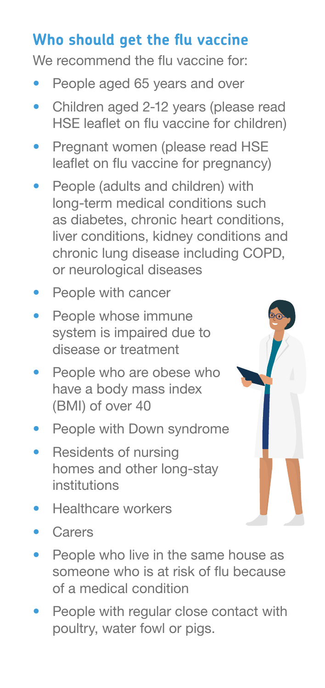# **Who should get the flu vaccine**

We recommend the flu vaccine for:

- **•** People aged 65 years and over
- **•** Children aged 2-12 years (please read HSE leaflet on flu vaccine for children)
- **•** Pregnant women (please read HSE leaflet on flu vaccine for pregnancy)
- **•** People (adults and children) with long-term medical conditions such as diabetes, chronic heart conditions, liver conditions, kidney conditions and chronic lung disease including COPD, or neurological diseases
- **•** People with cancer
- **•** People whose immune system is impaired due to disease or treatment
- **•** People who are obese who have a body mass index (BMI) of over 40
- **•** People with Down syndrome
- **•** Residents of nursing homes and other long-stay institutions
- **•** Healthcare workers
- **•** Carers
- **•** People who live in the same house as someone who is at risk of flu because of a medical condition
- **•** People with regular close contact with poultry, water fowl or pigs.

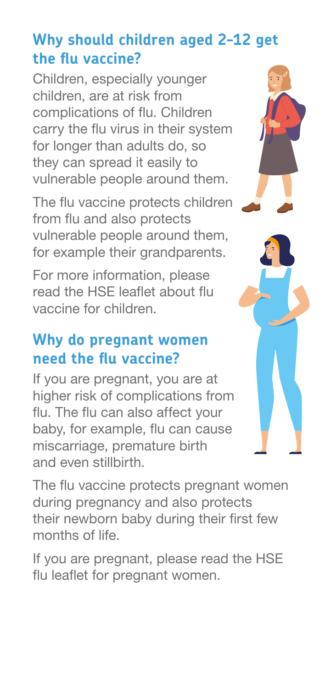# **Why should children aged 2-12 get the flu vaccine?**

Children, especially younger children, are at risk from complications of flu. Children carry the flu virus in their system for longer than adults do, so they can spread it easily to vulnerable people around them.

The flu vaccine protects children from flu and also protects vulnerable people around them, for example their grandparents.

For more information, please read the HSE leaflet about flu vaccine for children.

#### **Why do pregnant women need the flu vaccine?**

If you are pregnant, you are at higher risk of complications from flu. The flu can also affect your baby, for example, flu can cause miscarriage, premature birth and even stillbirth.

The flu vaccine protects pregnant women during pregnancy and also protects their newborn baby during their first few months of life.

If you are pregnant, please read the HSE flu leaflet for pregnant women.



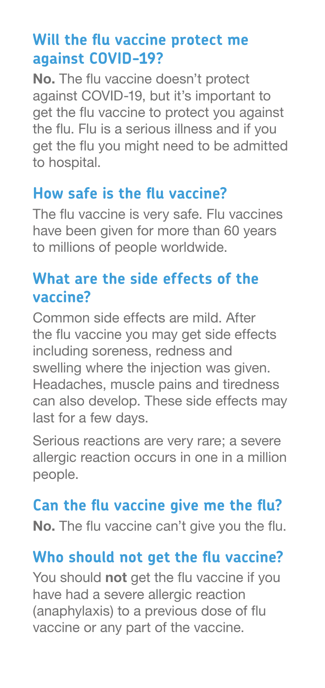#### **Will the flu vaccine protect me against COVID-19?**

**No.** The flu vaccine doesn't protect against COVID-19, but it's important to get the flu vaccine to protect you against the flu. Flu is a serious illness and if you get the flu you might need to be admitted to hospital.

#### **How safe is the flu vaccine?**

The flu vaccine is very safe. Flu vaccines have been given for more than 60 years to millions of people worldwide.

#### **What are the side effects of the vaccine?**

Common side effects are mild. After the flu vaccine you may get side effects including soreness, redness and swelling where the injection was given. Headaches, muscle pains and tiredness can also develop. These side effects may last for a few days.

Serious reactions are very rare; a severe allergic reaction occurs in one in a million people.

#### **Can the flu vaccine give me the flu?**

**No.** The flu vaccine can't give you the flu.

#### **Who should not get the flu vaccine?**

You should **not** get the flu vaccine if you have had a severe allergic reaction (anaphylaxis) to a previous dose of flu vaccine or any part of the vaccine.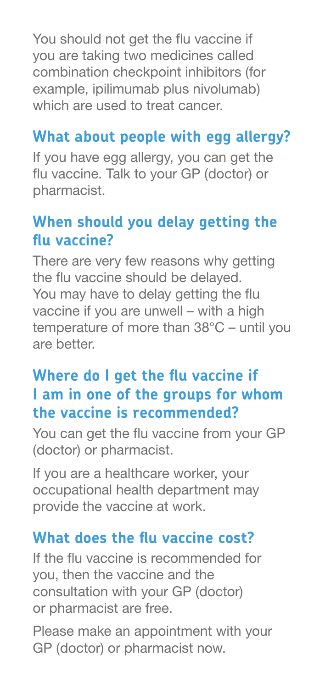You should not get the flu vaccine if you are taking two medicines called combination checkpoint inhibitors (for example, ipilimumab plus nivolumab) which are used to treat cancer.

### **What about people with egg allergy?**

If you have egg allergy, you can get the flu vaccine. Talk to your GP (doctor) or pharmacist.

#### **When should you delay getting the flu vaccine?**

There are very few reasons why getting the flu vaccine should be delayed. You may have to delay getting the flu vaccine if you are unwell – with a high temperature of more than 38°C – until you are better.

# **Where do I get the flu vaccine if I am in one of the groups for whom the vaccine is recommended?**

You can get the flu vaccine from your GP (doctor) or pharmacist.

If you are a healthcare worker, your occupational health department may provide the vaccine at work.

#### **What does the flu vaccine cost?**

If the flu vaccine is recommended for you, then the vaccine and the consultation with your GP (doctor) or pharmacist are free.

Please make an appointment with your GP (doctor) or pharmacist now.